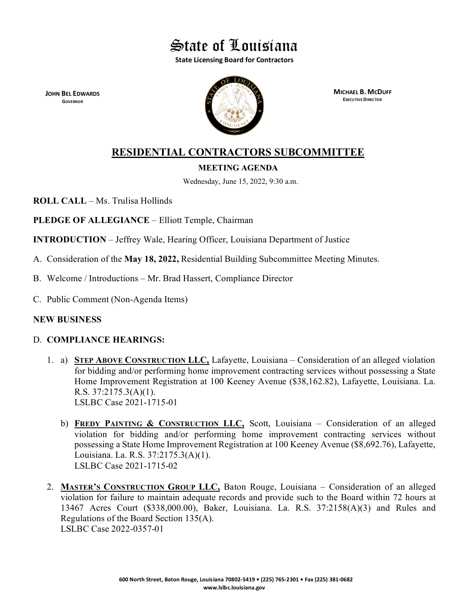

**State Licensing Board for Contractors**

**JOHN BEL EDWARDS GOVERNOR**



**MICHAEL B. MCDUFF EXECUTIVE DIRECTOR**

# **RESIDENTIAL CONTRACTORS SUBCOMMITTEE**

# **MEETING AGENDA**

Wednesday, June 15, 2022, 9:30 a.m.

**ROLL CALL** – Ms. Trulisa Hollinds

**PLEDGE OF ALLEGIANCE** – Elliott Temple, Chairman

**INTRODUCTION** – Jeffrey Wale, Hearing Officer, Louisiana Department of Justice

- A. Consideration of the **May 18, 2022,** Residential Building Subcommittee Meeting Minutes.
- B. Welcome / Introductions Mr. Brad Hassert, Compliance Director
- C. Public Comment (Non-Agenda Items)

# **NEW BUSINESS**

# D. **COMPLIANCE HEARINGS:**

- 1. a) **STEP ABOVE CONSTRUCTION LLC,** Lafayette, Louisiana Consideration of an alleged violation for bidding and/or performing home improvement contracting services without possessing a State Home Improvement Registration at 100 Keeney Avenue (\$38,162.82), Lafayette, Louisiana. La. R.S. 37:2175.3(A)(1). LSLBC Case 2021-1715-01
	- b) **FREDY PAINTING & CONSTRUCTION LLC,** Scott, Louisiana Consideration of an alleged violation for bidding and/or performing home improvement contracting services without possessing a State Home Improvement Registration at 100 Keeney Avenue (\$8,692.76), Lafayette, Louisiana. La. R.S. 37:2175.3(A)(1). LSLBC Case 2021-1715-02
- 2. **MASTER'S CONSTRUCTION GROUP LLC,** Baton Rouge, Louisiana Consideration of an alleged violation for failure to maintain adequate records and provide such to the Board within 72 hours at 13467 Acres Court (\$338,000.00), Baker, Louisiana. La. R.S. 37:2158(A)(3) and Rules and Regulations of the Board Section 135(A). LSLBC Case 2022-0357-01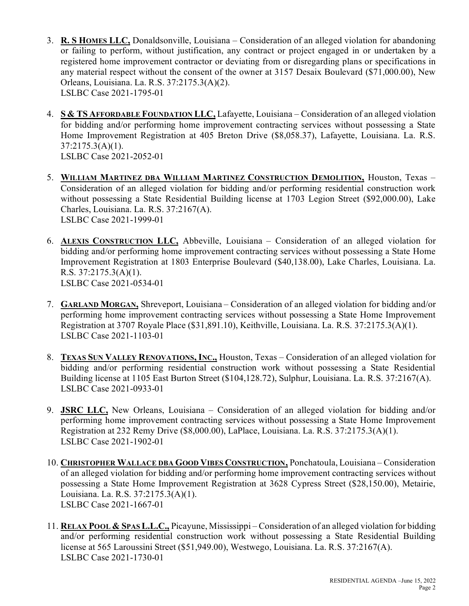- 3. **R. S HOMES LLC,** Donaldsonville, Louisiana Consideration of an alleged violation for abandoning or failing to perform, without justification, any contract or project engaged in or undertaken by a registered home improvement contractor or deviating from or disregarding plans or specifications in any material respect without the consent of the owner at 3157 Desaix Boulevard (\$71,000.00), New Orleans, Louisiana. La. R.S. 37:2175.3(A)(2). LSLBC Case 2021-1795-01
- 4. **S & TS AFFORDABLE FOUNDATION LLC,** Lafayette, Louisiana Consideration of an alleged violation for bidding and/or performing home improvement contracting services without possessing a State Home Improvement Registration at 405 Breton Drive (\$8,058.37), Lafayette, Louisiana. La. R.S.  $37:2175.3(A)(1)$ .

LSLBC Case 2021-2052-01

- 5. **WILLIAM MARTINEZ DBA WILLIAM MARTINEZ CONSTRUCTION DEMOLITION,** Houston, Texas Consideration of an alleged violation for bidding and/or performing residential construction work without possessing a State Residential Building license at 1703 Legion Street (\$92,000.00), Lake Charles, Louisiana. La. R.S. 37:2167(A). LSLBC Case 2021-1999-01
- 6. **ALEXIS CONSTRUCTION LLC,** Abbeville, Louisiana Consideration of an alleged violation for bidding and/or performing home improvement contracting services without possessing a State Home Improvement Registration at 1803 Enterprise Boulevard (\$40,138.00), Lake Charles, Louisiana. La. R.S. 37:2175.3(A)(1). LSLBC Case 2021-0534-01
- 7. **GARLAND MORGAN,** Shreveport, Louisiana Consideration of an alleged violation for bidding and/or performing home improvement contracting services without possessing a State Home Improvement Registration at 3707 Royale Place (\$31,891.10), Keithville, Louisiana. La. R.S. 37:2175.3(A)(1). LSLBC Case 2021-1103-01
- 8. **TEXAS SUN VALLEY RENOVATIONS, INC.,** Houston, Texas Consideration of an alleged violation for bidding and/or performing residential construction work without possessing a State Residential Building license at 1105 East Burton Street (\$104,128.72), Sulphur, Louisiana. La. R.S. 37:2167(A). LSLBC Case 2021-0933-01
- 9. **JSRC LLC,** New Orleans, Louisiana Consideration of an alleged violation for bidding and/or performing home improvement contracting services without possessing a State Home Improvement Registration at 232 Remy Drive (\$8,000.00), LaPlace, Louisiana. La. R.S. 37:2175.3(A)(1). LSLBC Case 2021-1902-01
- 10. **CHRISTOPHER WALLACE DBA GOOD VIBES CONSTRUCTION,** Ponchatoula, Louisiana Consideration of an alleged violation for bidding and/or performing home improvement contracting services without possessing a State Home Improvement Registration at 3628 Cypress Street (\$28,150.00), Metairie, Louisiana. La. R.S. 37:2175.3(A)(1). LSLBC Case 2021-1667-01
- 11. **RELAX POOL & SPAS L.L.C.,** Picayune, Mississippi Consideration of an alleged violation for bidding and/or performing residential construction work without possessing a State Residential Building license at 565 Laroussini Street (\$51,949.00), Westwego, Louisiana. La. R.S. 37:2167(A). LSLBC Case 2021-1730-01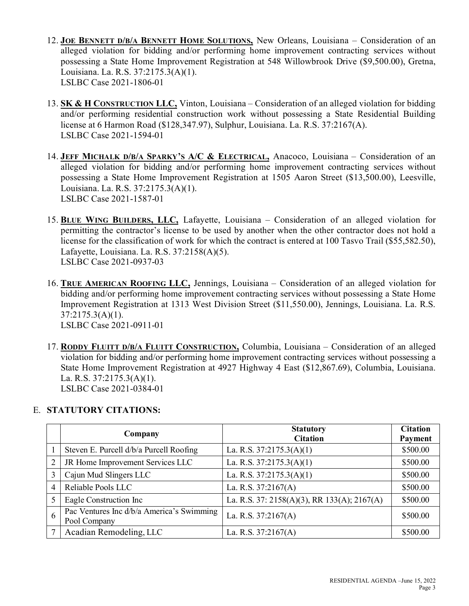- 12. **JOE BENNETT D/B/A BENNETT HOME SOLUTIONS,** New Orleans, Louisiana Consideration of an alleged violation for bidding and/or performing home improvement contracting services without possessing a State Home Improvement Registration at 548 Willowbrook Drive (\$9,500.00), Gretna, Louisiana. La. R.S. 37:2175.3(A)(1). LSLBC Case 2021-1806-01
- 13. **SK & H CONSTRUCTION LLC,** Vinton, Louisiana Consideration of an alleged violation for bidding and/or performing residential construction work without possessing a State Residential Building license at 6 Harmon Road (\$128,347.97), Sulphur, Louisiana. La. R.S. 37:2167(A). LSLBC Case 2021-1594-01
- 14. **JEFF MICHALK D/B/A SPARKY'S A/C & ELECTRICAL,** Anacoco, Louisiana Consideration of an alleged violation for bidding and/or performing home improvement contracting services without possessing a State Home Improvement Registration at 1505 Aaron Street (\$13,500.00), Leesville, Louisiana. La. R.S. 37:2175.3(A)(1). LSLBC Case 2021-1587-01
- 15. **BLUE WING BUILDERS, LLC,** Lafayette, Louisiana Consideration of an alleged violation for permitting the contractor's license to be used by another when the other contractor does not hold a license for the classification of work for which the contract is entered at 100 Tasvo Trail (\$55,582.50), Lafayette, Louisiana. La. R.S. 37:2158(A)(5). LSLBC Case 2021-0937-03
- 16. **TRUE AMERICAN ROOFING LLC,** Jennings, Louisiana Consideration of an alleged violation for bidding and/or performing home improvement contracting services without possessing a State Home Improvement Registration at 1313 West Division Street (\$11,550.00), Jennings, Louisiana. La. R.S.  $37:2175.3(A)(1)$ . LSLBC Case 2021-0911-01
- 17. **RODDY FLUITT D/B/A FLUITT CONSTRUCTION,** Columbia, Louisiana Consideration of an alleged violation for bidding and/or performing home improvement contracting services without possessing a State Home Improvement Registration at 4927 Highway 4 East (\$12,867.69), Columbia, Louisiana. La. R.S. 37:2175.3(A)(1). LSLBC Case 2021-0384-01

# E. **STATUTORY CITATIONS:**

|                | Company                                                   | <b>Statutory</b><br><b>Citation</b>         | <b>Citation</b><br>Payment |
|----------------|-----------------------------------------------------------|---------------------------------------------|----------------------------|
|                | Steven E. Purcell d/b/a Purcell Roofing                   | La. R.S. $37:2175.3(A)(1)$                  | \$500.00                   |
| $\overline{2}$ | JR Home Improvement Services LLC                          | La. R.S. $37:2175.3(A)(1)$                  | \$500.00                   |
|                | Cajun Mud Slingers LLC                                    | La. R.S. $37:2175.3(A)(1)$                  | \$500.00                   |
| $\overline{4}$ | Reliable Pools LLC                                        | La. R.S. 37:2167(A)                         | \$500.00                   |
|                | Eagle Construction Inc                                    | La. R.S. 37: 2158(A)(3), RR 133(A); 2167(A) | \$500.00                   |
| 6              | Pac Ventures Inc d/b/a America's Swimming<br>Pool Company | La. R.S. $37:2167(A)$                       | \$500.00                   |
|                | Acadian Remodeling, LLC                                   | La. R.S. $37:2167(A)$                       | \$500.00                   |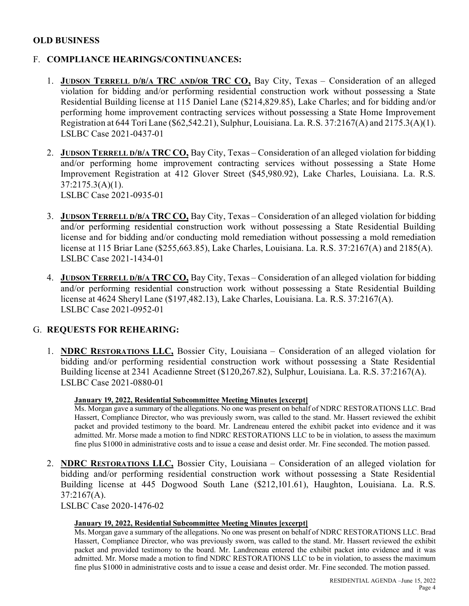## **OLD BUSINESS**

# F. **COMPLIANCE HEARINGS/CONTINUANCES:**

- 1. **JUDSON TERRELL D/B/A TRC AND/OR TRC CO,** Bay City, Texas Consideration of an alleged violation for bidding and/or performing residential construction work without possessing a State Residential Building license at 115 Daniel Lane (\$214,829.85), Lake Charles; and for bidding and/or performing home improvement contracting services without possessing a State Home Improvement Registration at 644 Tori Lane (\$62,542.21), Sulphur, Louisiana. La. R.S. 37:2167(A) and 2175.3(A)(1). LSLBC Case 2021-0437-01
- 2. **JUDSON TERRELL D/B/A TRC CO,** Bay City, Texas Consideration of an alleged violation for bidding and/or performing home improvement contracting services without possessing a State Home Improvement Registration at 412 Glover Street (\$45,980.92), Lake Charles, Louisiana. La. R.S.  $37:2175.3(A)(1)$ . LSLBC Case 2021-0935-01
- 3. **JUDSON TERRELL D/B/A TRC CO,** Bay City, Texas Consideration of an alleged violation for bidding and/or performing residential construction work without possessing a State Residential Building license and for bidding and/or conducting mold remediation without possessing a mold remediation license at 115 Briar Lane (\$255,663.85), Lake Charles, Louisiana. La. R.S. 37:2167(A) and 2185(A). LSLBC Case 2021-1434-01
- 4. **JUDSON TERRELL D/B/A TRC CO,** Bay City, Texas Consideration of an alleged violation for bidding and/or performing residential construction work without possessing a State Residential Building license at 4624 Sheryl Lane (\$197,482.13), Lake Charles, Louisiana. La. R.S. 37:2167(A). LSLBC Case 2021-0952-01

## G. **REQUESTS FOR REHEARING:**

1. **NDRC RESTORATIONS LLC,** Bossier City, Louisiana – Consideration of an alleged violation for bidding and/or performing residential construction work without possessing a State Residential Building license at 2341 Acadienne Street (\$120,267.82), Sulphur, Louisiana. La. R.S. 37:2167(A). LSLBC Case 2021-0880-01

## **January 19, 2022, Residential Subcommittee Meeting Minutes [excerpt]**

Ms. Morgan gave a summary of the allegations. No one was present on behalf of NDRC RESTORATIONS LLC. Brad Hassert, Compliance Director, who was previously sworn, was called to the stand. Mr. Hassert reviewed the exhibit packet and provided testimony to the board. Mr. Landreneau entered the exhibit packet into evidence and it was admitted. Mr. Morse made a motion to find NDRC RESTORATIONS LLC to be in violation, to assess the maximum fine plus \$1000 in administrative costs and to issue a cease and desist order. Mr. Fine seconded. The motion passed.

2. **NDRC RESTORATIONS LLC,** Bossier City, Louisiana – Consideration of an alleged violation for bidding and/or performing residential construction work without possessing a State Residential Building license at 445 Dogwood South Lane (\$212,101.61), Haughton, Louisiana. La. R.S. 37:2167(A).

LSLBC Case 2020-1476-02

## **January 19, 2022, Residential Subcommittee Meeting Minutes [excerpt]**

Ms. Morgan gave a summary of the allegations. No one was present on behalf of NDRC RESTORATIONS LLC. Brad Hassert, Compliance Director, who was previously sworn, was called to the stand. Mr. Hassert reviewed the exhibit packet and provided testimony to the board. Mr. Landreneau entered the exhibit packet into evidence and it was admitted. Mr. Morse made a motion to find NDRC RESTORATIONS LLC to be in violation, to assess the maximum fine plus \$1000 in administrative costs and to issue a cease and desist order. Mr. Fine seconded. The motion passed.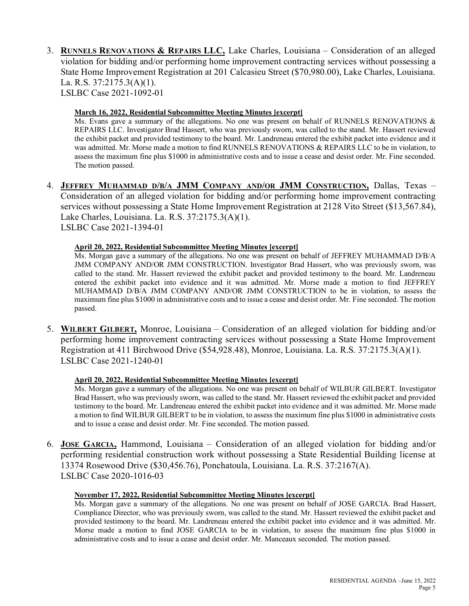3. **RUNNELS RENOVATIONS & REPAIRS LLC,** Lake Charles, Louisiana – Consideration of an alleged violation for bidding and/or performing home improvement contracting services without possessing a State Home Improvement Registration at 201 Calcasieu Street (\$70,980.00), Lake Charles, Louisiana. La. R.S. 37:2175.3(A)(1). LSLBC Case 2021-1092-01

### **March 16, 2022, Residential Subcommittee Meeting Minutes [excerpt]**

Ms. Evans gave a summary of the allegations. No one was present on behalf of RUNNELS RENOVATIONS & REPAIRS LLC. Investigator Brad Hassert, who was previously sworn, was called to the stand. Mr. Hassert reviewed the exhibit packet and provided testimony to the board. Mr. Landreneau entered the exhibit packet into evidence and it was admitted. Mr. Morse made a motion to find RUNNELS RENOVATIONS & REPAIRS LLC to be in violation, to assess the maximum fine plus \$1000 in administrative costs and to issue a cease and desist order. Mr. Fine seconded. The motion passed.

4. **JEFFREY MUHAMMAD D/B/A JMM COMPANY AND/OR JMM CONSTRUCTION,** Dallas, Texas – Consideration of an alleged violation for bidding and/or performing home improvement contracting services without possessing a State Home Improvement Registration at 2128 Vito Street (\$13,567.84), Lake Charles, Louisiana. La. R.S. 37:2175.3(A)(1). LSLBC Case 2021-1394-01

### **April 20, 2022, Residential Subcommittee Meeting Minutes [excerpt]**

Ms. Morgan gave a summary of the allegations. No one was present on behalf of JEFFREY MUHAMMAD D/B/A JMM COMPANY AND/OR JMM CONSTRUCTION. Investigator Brad Hassert, who was previously sworn, was called to the stand. Mr. Hassert reviewed the exhibit packet and provided testimony to the board. Mr. Landreneau entered the exhibit packet into evidence and it was admitted. Mr. Morse made a motion to find JEFFREY MUHAMMAD D/B/A JMM COMPANY AND/OR JMM CONSTRUCTION to be in violation, to assess the maximum fine plus \$1000 in administrative costs and to issue a cease and desist order. Mr. Fine seconded. The motion passed.

5. **WILBERT GILBERT,** Monroe, Louisiana – Consideration of an alleged violation for bidding and/or performing home improvement contracting services without possessing a State Home Improvement Registration at 411 Birchwood Drive (\$54,928.48), Monroe, Louisiana. La. R.S. 37:2175.3(A)(1). LSLBC Case 2021-1240-01

### **April 20, 2022, Residential Subcommittee Meeting Minutes [excerpt]**

Ms. Morgan gave a summary of the allegations. No one was present on behalf of WILBUR GILBERT. Investigator Brad Hassert, who was previously sworn, was called to the stand. Mr. Hassert reviewed the exhibit packet and provided testimony to the board. Mr. Landreneau entered the exhibit packet into evidence and it was admitted. Mr. Morse made a motion to find WILBUR GILBERT to be in violation, to assess the maximum fine plus \$1000 in administrative costs and to issue a cease and desist order. Mr. Fine seconded. The motion passed.

6. **JOSE GARCIA,** Hammond, Louisiana – Consideration of an alleged violation for bidding and/or performing residential construction work without possessing a State Residential Building license at 13374 Rosewood Drive (\$30,456.76), Ponchatoula, Louisiana. La. R.S. 37:2167(A). LSLBC Case 2020-1016-03

### **November 17, 2022, Residential Subcommittee Meeting Minutes [excerpt]**

Ms. Morgan gave a summary of the allegations. No one was present on behalf of JOSE GARCIA. Brad Hassert, Compliance Director, who was previously sworn, was called to the stand. Mr. Hassert reviewed the exhibit packet and provided testimony to the board. Mr. Landreneau entered the exhibit packet into evidence and it was admitted. Mr. Morse made a motion to find JOSE GARCIA to be in violation, to assess the maximum fine plus \$1000 in administrative costs and to issue a cease and desist order. Mr. Manceaux seconded. The motion passed.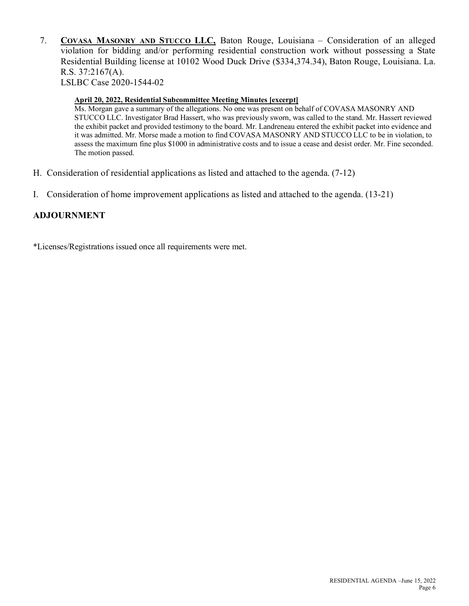7. **COVASA MASONRY AND STUCCO LLC,** Baton Rouge, Louisiana – Consideration of an alleged violation for bidding and/or performing residential construction work without possessing a State Residential Building license at 10102 Wood Duck Drive (\$334,374.34), Baton Rouge, Louisiana. La. R.S. 37:2167(A). LSLBC Case 2020-1544-02

### **April 20, 2022, Residential Subcommittee Meeting Minutes [excerpt]**

Ms. Morgan gave a summary of the allegations. No one was present on behalf of COVASA MASONRY AND STUCCO LLC. Investigator Brad Hassert, who was previously sworn, was called to the stand. Mr. Hassert reviewed the exhibit packet and provided testimony to the board. Mr. Landreneau entered the exhibit packet into evidence and it was admitted. Mr. Morse made a motion to find COVASA MASONRY AND STUCCO LLC to be in violation, to assess the maximum fine plus \$1000 in administrative costs and to issue a cease and desist order. Mr. Fine seconded. The motion passed.

- H. Consideration of residential applications as listed and attached to the agenda. (7-12)
- I. Consideration of home improvement applications as listed and attached to the agenda. (13-21)

## **ADJOURNMENT**

\*Licenses/Registrations issued once all requirements were met.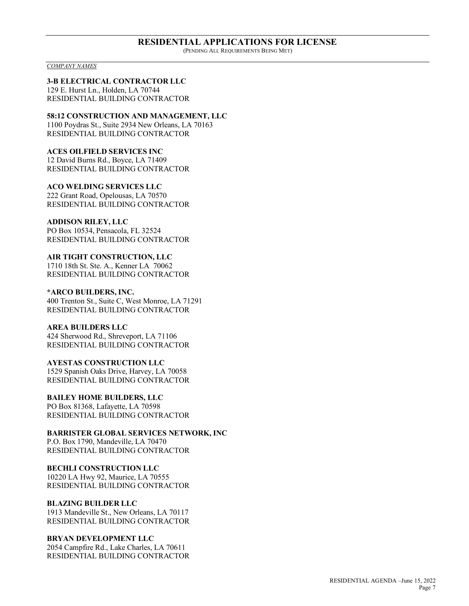#### **RESIDENTIAL APPLICATIONS FOR LICENSE** (PENDING ALL REQUIREMENTS BEING MET)

*COMPANY NAMES*

### **3-B ELECTRICAL CONTRACTOR LLC**

129 E. Hurst Ln., Holden, LA 70744 RESIDENTIAL BUILDING CONTRACTOR

**58:12 CONSTRUCTION AND MANAGEMENT, LLC** 1100 Poydras St., Suite 2934 New Orleans, LA 70163 RESIDENTIAL BUILDING CONTRACTOR

### **ACES OILFIELD SERVICES INC**

12 David Burns Rd., Boyce, LA 71409 RESIDENTIAL BUILDING CONTRACTOR

**ACO WELDING SERVICES LLC** 222 Grant Road, Opelousas, LA 70570 RESIDENTIAL BUILDING CONTRACTOR

#### **ADDISON RILEY, LLC**

PO Box 10534, Pensacola, FL 32524 RESIDENTIAL BUILDING CONTRACTOR

### **AIR TIGHT CONSTRUCTION, LLC**

1710 18th St. Ste. A., Kenner LA 70062 RESIDENTIAL BUILDING CONTRACTOR

#### **\*ARCO BUILDERS, INC.**

400 Trenton St., Suite C, West Monroe, LA 71291 RESIDENTIAL BUILDING CONTRACTOR

### **AREA BUILDERS LLC**

424 Sherwood Rd., Shreveport, LA 71106 RESIDENTIAL BUILDING CONTRACTOR

## **AYESTAS CONSTRUCTION LLC**

1529 Spanish Oaks Drive, Harvey, LA 70058 RESIDENTIAL BUILDING CONTRACTOR

### **BAILEY HOME BUILDERS, LLC**

PO Box 81368, Lafayette, LA 70598 RESIDENTIAL BUILDING CONTRACTOR

**BARRISTER GLOBAL SERVICES NETWORK, INC** P.O. Box 1790, Mandeville, LA 70470 RESIDENTIAL BUILDING CONTRACTOR

### **BECHLI CONSTRUCTION LLC**

10220 LA Hwy 92, Maurice, LA 70555 RESIDENTIAL BUILDING CONTRACTOR

### **BLAZING BUILDER LLC**

1913 Mandeville St., New Orleans, LA 70117 RESIDENTIAL BUILDING CONTRACTOR

### **BRYAN DEVELOPMENT LLC**

2054 Campfire Rd., Lake Charles, LA 70611 RESIDENTIAL BUILDING CONTRACTOR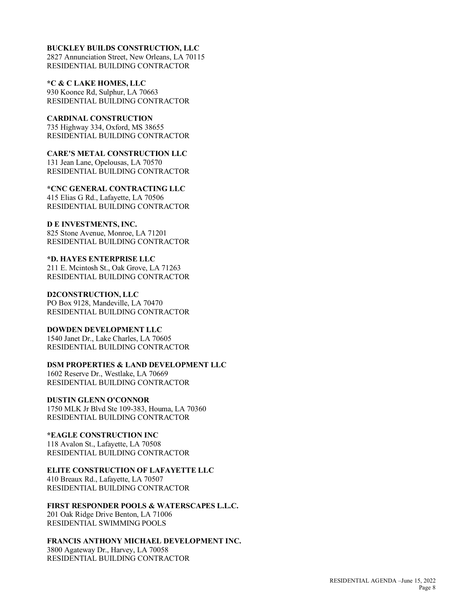### **BUCKLEY BUILDS CONSTRUCTION, LLC**

2827 Annunciation Street, New Orleans, LA 70115 RESIDENTIAL BUILDING CONTRACTOR

**\*C & C LAKE HOMES, LLC** 930 Koonce Rd, Sulphur, LA 70663 RESIDENTIAL BUILDING CONTRACTOR

**CARDINAL CONSTRUCTION** 735 Highway 334, Oxford, MS 38655 RESIDENTIAL BUILDING CONTRACTOR

**CARE'S METAL CONSTRUCTION LLC** 131 Jean Lane, Opelousas, LA 70570 RESIDENTIAL BUILDING CONTRACTOR

**\*CNC GENERAL CONTRACTING LLC** 415 Elias G Rd., Lafayette, LA 70506 RESIDENTIAL BUILDING CONTRACTOR

**D E INVESTMENTS, INC.** 825 Stone Avenue, Monroe, LA 71201 RESIDENTIAL BUILDING CONTRACTOR

**\*D. HAYES ENTERPRISE LLC** 211 E. Mcintosh St., Oak Grove, LA 71263 RESIDENTIAL BUILDING CONTRACTOR

**D2CONSTRUCTION, LLC** PO Box 9128, Mandeville, LA 70470 RESIDENTIAL BUILDING CONTRACTOR

**DOWDEN DEVELOPMENT LLC** 1540 Janet Dr., Lake Charles, LA 70605 RESIDENTIAL BUILDING CONTRACTOR

**DSM PROPERTIES & LAND DEVELOPMENT LLC** 1602 Reserve Dr., Westlake, LA 70669

RESIDENTIAL BUILDING CONTRACTOR

**DUSTIN GLENN O'CONNOR** 1750 MLK Jr Blvd Ste 109-383, Houma, LA 70360 RESIDENTIAL BUILDING CONTRACTOR

**\*EAGLE CONSTRUCTION INC** 118 Avalon St., Lafayette, LA 70508 RESIDENTIAL BUILDING CONTRACTOR

**ELITE CONSTRUCTION OF LAFAYETTE LLC**

410 Breaux Rd., Lafayette, LA 70507 RESIDENTIAL BUILDING CONTRACTOR

**FIRST RESPONDER POOLS & WATERSCAPES L.L.C.** 201 Oak Ridge Drive Benton, LA 71006 RESIDENTIAL SWIMMING POOLS

**FRANCIS ANTHONY MICHAEL DEVELOPMENT INC.**

3800 Agateway Dr., Harvey, LA 70058 RESIDENTIAL BUILDING CONTRACTOR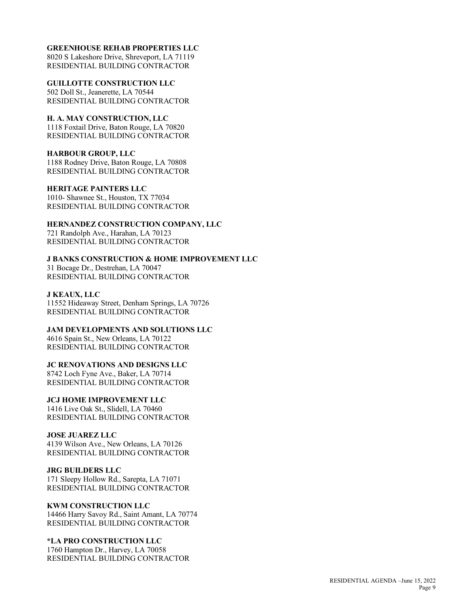### **GREENHOUSE REHAB PROPERTIES LLC**

8020 S Lakeshore Drive, Shreveport, LA 71119 RESIDENTIAL BUILDING CONTRACTOR

**GUILLOTTE CONSTRUCTION LLC** 502 Doll St., Jeanerette, LA 70544 RESIDENTIAL BUILDING CONTRACTOR

**H. A. MAY CONSTRUCTION, LLC** 1118 Foxtail Drive, Baton Rouge, LA 70820 RESIDENTIAL BUILDING CONTRACTOR

#### **HARBOUR GROUP, LLC** 1188 Rodney Drive, Baton Rouge, LA 70808 RESIDENTIAL BUILDING CONTRACTOR

**HERITAGE PAINTERS LLC** 1010- Shawnee St., Houston, TX 77034 RESIDENTIAL BUILDING CONTRACTOR

## **HERNANDEZ CONSTRUCTION COMPANY, LLC**

721 Randolph Ave., Harahan, LA 70123 RESIDENTIAL BUILDING CONTRACTOR

**J BANKS CONSTRUCTION & HOME IMPROVEMENT LLC** 31 Bocage Dr., Destrehan, LA 70047 RESIDENTIAL BUILDING CONTRACTOR

### **J KEAUX, LLC**

11552 Hideaway Street, Denham Springs, LA 70726 RESIDENTIAL BUILDING CONTRACTOR

**JAM DEVELOPMENTS AND SOLUTIONS LLC** 4616 Spain St., New Orleans, LA 70122 RESIDENTIAL BUILDING CONTRACTOR

## **JC RENOVATIONS AND DESIGNS LLC**

8742 Loch Fyne Ave., Baker, LA 70714 RESIDENTIAL BUILDING CONTRACTOR

## **JCJ HOME IMPROVEMENT LLC**

1416 Live Oak St., Slidell, LA 70460 RESIDENTIAL BUILDING CONTRACTOR

## **JOSE JUAREZ LLC**

4139 Wilson Ave., New Orleans, LA 70126 RESIDENTIAL BUILDING CONTRACTOR

### **JRG BUILDERS LLC**

171 Sleepy Hollow Rd., Sarepta, LA 71071 RESIDENTIAL BUILDING CONTRACTOR

# **KWM CONSTRUCTION LLC**

14466 Harry Savoy Rd., Saint Amant, LA 70774 RESIDENTIAL BUILDING CONTRACTOR

## **\*LA PRO CONSTRUCTION LLC**

1760 Hampton Dr., Harvey, LA 70058 RESIDENTIAL BUILDING CONTRACTOR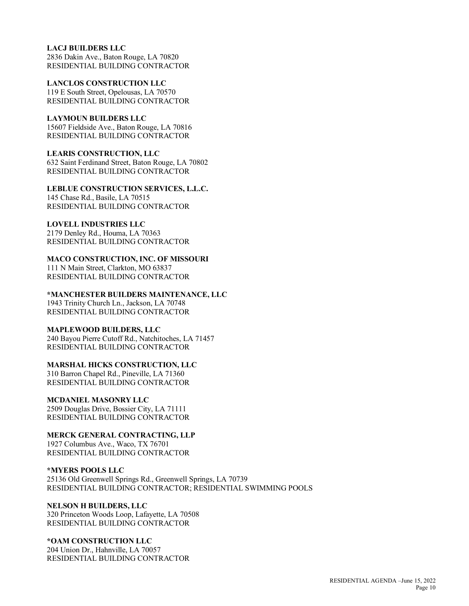### **LACJ BUILDERS LLC**

2836 Dakin Ave., Baton Rouge, LA 70820 RESIDENTIAL BUILDING CONTRACTOR

**LANCLOS CONSTRUCTION LLC** 119 E South Street, Opelousas, LA 70570 RESIDENTIAL BUILDING CONTRACTOR

# **LAYMOUN BUILDERS LLC**

15607 Fieldside Ave., Baton Rouge, LA 70816 RESIDENTIAL BUILDING CONTRACTOR

**LEARIS CONSTRUCTION, LLC**

632 Saint Ferdinand Street, Baton Rouge, LA 70802 RESIDENTIAL BUILDING CONTRACTOR

# **LEBLUE CONSTRUCTION SERVICES, L.L.C.**

145 Chase Rd., Basile, LA 70515 RESIDENTIAL BUILDING CONTRACTOR

## **LOVELL INDUSTRIES LLC**

2179 Denley Rd., Houma, LA 70363 RESIDENTIAL BUILDING CONTRACTOR

## **MACO CONSTRUCTION, INC. OF MISSOURI**

111 N Main Street, Clarkton, MO 63837 RESIDENTIAL BUILDING CONTRACTOR

### **\*MANCHESTER BUILDERS MAINTENANCE, LLC**

1943 Trinity Church Ln., Jackson, LA 70748 RESIDENTIAL BUILDING CONTRACTOR

## **MAPLEWOOD BUILDERS, LLC**

240 Bayou Pierre Cutoff Rd., Natchitoches, LA 71457 RESIDENTIAL BUILDING CONTRACTOR

## **MARSHAL HICKS CONSTRUCTION, LLC**

310 Barron Chapel Rd., Pineville, LA 71360 RESIDENTIAL BUILDING CONTRACTOR

## **MCDANIEL MASONRY LLC**

2509 Douglas Drive, Bossier City, LA 71111 RESIDENTIAL BUILDING CONTRACTOR

**MERCK GENERAL CONTRACTING, LLP**

1927 Columbus Ave., Waco, TX 76701 RESIDENTIAL BUILDING CONTRACTOR

### **\*MYERS POOLS LLC**

25136 Old Greenwell Springs Rd., Greenwell Springs, LA 70739 RESIDENTIAL BUILDING CONTRACTOR; RESIDENTIAL SWIMMING POOLS

#### **NELSON H BUILDERS, LLC** 320 Princeton Woods Loop, Lafayette, LA 70508 RESIDENTIAL BUILDING CONTRACTOR

#### **\*OAM CONSTRUCTION LLC** 204 Union Dr., Hahnville, LA 70057

RESIDENTIAL BUILDING CONTRACTOR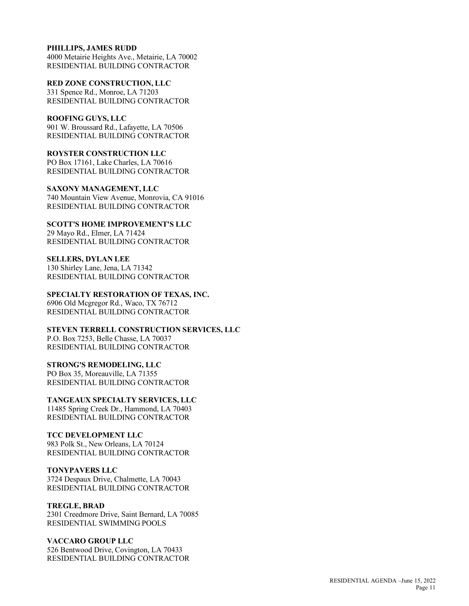### **PHILLIPS, JAMES RUDD**

4000 Metairie Heights Ave., Metairie, LA 70002 RESIDENTIAL BUILDING CONTRACTOR

**RED ZONE CONSTRUCTION, LLC** 331 Spence Rd., Monroe, LA 71203 RESIDENTIAL BUILDING CONTRACTOR

# **ROOFING GUYS, LLC**

901 W. Broussard Rd., Lafayette, LA 70506 RESIDENTIAL BUILDING CONTRACTOR

**ROYSTER CONSTRUCTION LLC**

PO Box 17161, Lake Charles, LA 70616 RESIDENTIAL BUILDING CONTRACTOR

**SAXONY MANAGEMENT, LLC** 740 Mountain View Avenue, Monrovia, CA 91016 RESIDENTIAL BUILDING CONTRACTOR

**SCOTT'S HOME IMPROVEMENT'S LLC** 29 Mayo Rd., Elmer, LA 71424 RESIDENTIAL BUILDING CONTRACTOR

**SELLERS, DYLAN LEE** 130 Shirley Lane, Jena, LA 71342 RESIDENTIAL BUILDING CONTRACTOR

**SPECIALTY RESTORATION OF TEXAS, INC.** 6906 Old Mcgregor Rd., Waco, TX 76712 RESIDENTIAL BUILDING CONTRACTOR

**STEVEN TERRELL CONSTRUCTION SERVICES, LLC** P.O. Box 7253, Belle Chasse, LA 70037 RESIDENTIAL BUILDING CONTRACTOR

### **STRONG'S REMODELING, LLC**

PO Box 35, Moreauville, LA 71355 RESIDENTIAL BUILDING CONTRACTOR

**TANGEAUX SPECIALTY SERVICES, LLC**

11485 Spring Creek Dr., Hammond, LA 70403 RESIDENTIAL BUILDING CONTRACTOR

### **TCC DEVELOPMENT LLC**

983 Polk St., New Orleans, LA 70124 RESIDENTIAL BUILDING CONTRACTOR

### **TONYPAVERS LLC**

3724 Despaux Drive, Chalmette, LA 70043 RESIDENTIAL BUILDING CONTRACTOR

### **TREGLE, BRAD**

2301 Creedmore Drive, Saint Bernard, LA 70085 RESIDENTIAL SWIMMING POOLS

## **VACCARO GROUP LLC**

526 Bentwood Drive, Covington, LA 70433 RESIDENTIAL BUILDING CONTRACTOR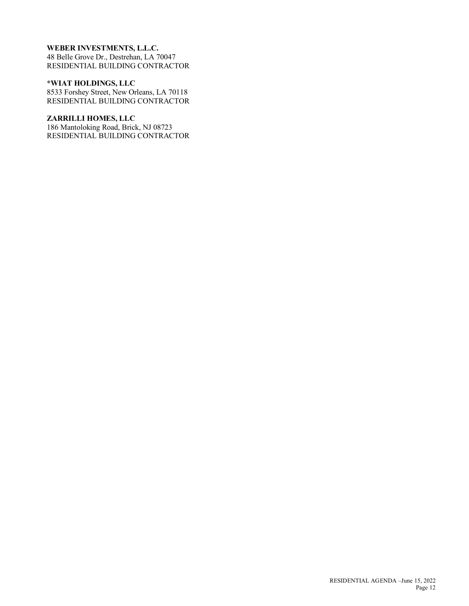## **WEBER INVESTMENTS, L.L.C.**

48 Belle Grove Dr., Destrehan, LA 70047 RESIDENTIAL BUILDING CONTRACTOR

### **\*WIAT HOLDINGS, LLC**

8533 Forshey Street, New Orleans, LA 70118 RESIDENTIAL BUILDING CONTRACTOR

### **ZARRILLI HOMES, LLC**

186 Mantoloking Road, Brick, NJ 08723 RESIDENTIAL BUILDING CONTRACTOR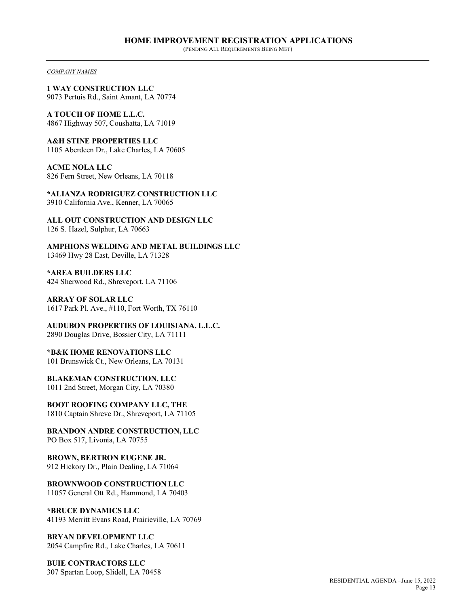*COMPANY NAMES*

**1 WAY CONSTRUCTION LLC** 9073 Pertuis Rd., Saint Amant, LA 70774

**A TOUCH OF HOME L.L.C.** 4867 Highway 507, Coushatta, LA 71019

**A&H STINE PROPERTIES LLC** 1105 Aberdeen Dr., Lake Charles, LA 70605

**ACME NOLA LLC** 826 Fern Street, New Orleans, LA 70118

**\*ALIANZA RODRIGUEZ CONSTRUCTION LLC** 3910 California Ave., Kenner, LA 70065

**ALL OUT CONSTRUCTION AND DESIGN LLC** 126 S. Hazel, Sulphur, LA 70663

**AMPHIONS WELDING AND METAL BUILDINGS LLC** 13469 Hwy 28 East, Deville, LA 71328

**\*AREA BUILDERS LLC** 424 Sherwood Rd., Shreveport, LA 71106

**ARRAY OF SOLAR LLC** 1617 Park Pl. Ave., #110, Fort Worth, TX 76110

**AUDUBON PROPERTIES OF LOUISIANA, L.L.C.** 2890 Douglas Drive, Bossier City, LA 71111

**\*B&K HOME RENOVATIONS LLC** 101 Brunswick Ct., New Orleans, LA 70131

**BLAKEMAN CONSTRUCTION, LLC** 1011 2nd Street, Morgan City, LA 70380

**BOOT ROOFING COMPANY LLC, THE** 1810 Captain Shreve Dr., Shreveport, LA 71105

**BRANDON ANDRE CONSTRUCTION, LLC** PO Box 517, Livonia, LA 70755

**BROWN, BERTRON EUGENE JR.** 912 Hickory Dr., Plain Dealing, LA 71064

**BROWNWOOD CONSTRUCTION LLC** 11057 General Ott Rd., Hammond, LA 70403

**\*BRUCE DYNAMICS LLC** 41193 Merritt Evans Road, Prairieville, LA 70769

**BRYAN DEVELOPMENT LLC** 2054 Campfire Rd., Lake Charles, LA 70611

**BUIE CONTRACTORS LLC** 307 Spartan Loop, Slidell, LA 70458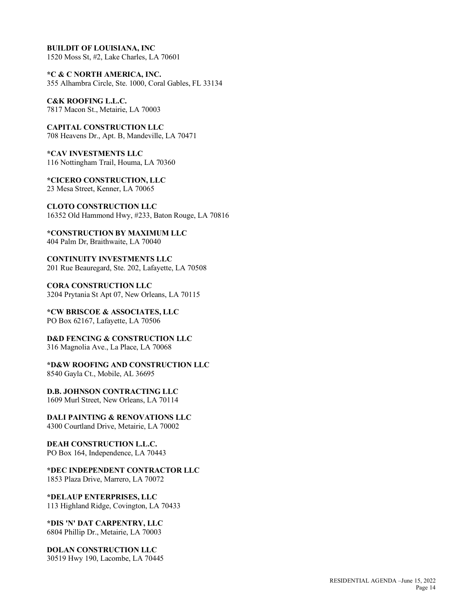**BUILDIT OF LOUISIANA, INC** 1520 Moss St, #2, Lake Charles, LA 70601

**\*C & C NORTH AMERICA, INC.** 355 Alhambra Circle, Ste. 1000, Coral Gables, FL 33134

**C&K ROOFING L.L.C.** 7817 Macon St., Metairie, LA 70003

**CAPITAL CONSTRUCTION LLC** 708 Heavens Dr., Apt. B, Mandeville, LA 70471

**\*CAV INVESTMENTS LLC** 116 Nottingham Trail, Houma, LA 70360

**\*CICERO CONSTRUCTION, LLC** 23 Mesa Street, Kenner, LA 70065

**CLOTO CONSTRUCTION LLC** 16352 Old Hammond Hwy, #233, Baton Rouge, LA 70816

**\*CONSTRUCTION BY MAXIMUM LLC** 404 Palm Dr, Braithwaite, LA 70040

**CONTINUITY INVESTMENTS LLC** 201 Rue Beauregard, Ste. 202, Lafayette, LA 70508

**CORA CONSTRUCTION LLC** 3204 Prytania St Apt 07, New Orleans, LA 70115

**\*CW BRISCOE & ASSOCIATES, LLC** PO Box 62167, Lafayette, LA 70506

**D&D FENCING & CONSTRUCTION LLC** 316 Magnolia Ave., La Place, LA 70068

**\*D&W ROOFING AND CONSTRUCTION LLC** 8540 Gayla Ct., Mobile, AL 36695

**D.B. JOHNSON CONTRACTING LLC** 1609 Murl Street, New Orleans, LA 70114

**DALI PAINTING & RENOVATIONS LLC** 4300 Courtland Drive, Metairie, LA 70002

**DEAH CONSTRUCTION L.L.C.** PO Box 164, Independence, LA 70443

**\*DEC INDEPENDENT CONTRACTOR LLC** 1853 Plaza Drive, Marrero, LA 70072

**\*DELAUP ENTERPRISES, LLC** 113 Highland Ridge, Covington, LA 70433

**\*DIS 'N' DAT CARPENTRY, LLC** 6804 Phillip Dr., Metairie, LA 70003

**DOLAN CONSTRUCTION LLC** 30519 Hwy 190, Lacombe, LA 70445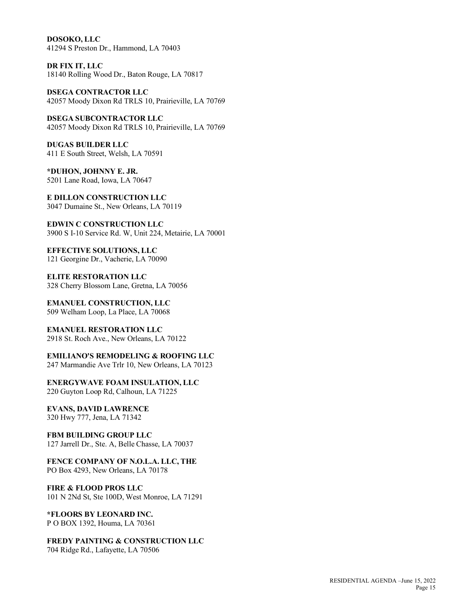**DOSOKO, LLC** 41294 S Preston Dr., Hammond, LA 70403

**DR FIX IT, LLC** 18140 Rolling Wood Dr., Baton Rouge, LA 70817

**DSEGA CONTRACTOR LLC** 42057 Moody Dixon Rd TRLS 10, Prairieville, LA 70769

**DSEGA SUBCONTRACTOR LLC** 42057 Moody Dixon Rd TRLS 10, Prairieville, LA 70769

**DUGAS BUILDER LLC** 411 E South Street, Welsh, LA 70591

**\*DUHON, JOHNNY E. JR.** 5201 Lane Road, Iowa, LA 70647

**E DILLON CONSTRUCTION LLC** 3047 Dumaine St., New Orleans, LA 70119

**EDWIN C CONSTRUCTION LLC** 3900 S I-10 Service Rd. W, Unit 224, Metairie, LA 70001

**EFFECTIVE SOLUTIONS, LLC** 121 Georgine Dr., Vacherie, LA 70090

**ELITE RESTORATION LLC** 328 Cherry Blossom Lane, Gretna, LA 70056

**EMANUEL CONSTRUCTION, LLC** 509 Welham Loop, La Place, LA 70068

**EMANUEL RESTORATION LLC** 2918 St. Roch Ave., New Orleans, LA 70122

**EMILIANO'S REMODELING & ROOFING LLC** 247 Marmandie Ave Trlr 10, New Orleans, LA 70123

**ENERGYWAVE FOAM INSULATION, LLC** 220 Guyton Loop Rd, Calhoun, LA 71225

**EVANS, DAVID LAWRENCE** 320 Hwy 777, Jena, LA 71342

**FBM BUILDING GROUP LLC** 127 Jarrell Dr., Ste. A, Belle Chasse, LA 70037

**FENCE COMPANY OF N.O.L.A. LLC, THE** PO Box 4293, New Orleans, LA 70178

**FIRE & FLOOD PROS LLC** 101 N 2Nd St, Ste 100D, West Monroe, LA 71291

**\*FLOORS BY LEONARD INC.** P O BOX 1392, Houma, LA 70361

**FREDY PAINTING & CONSTRUCTION LLC** 704 Ridge Rd., Lafayette, LA 70506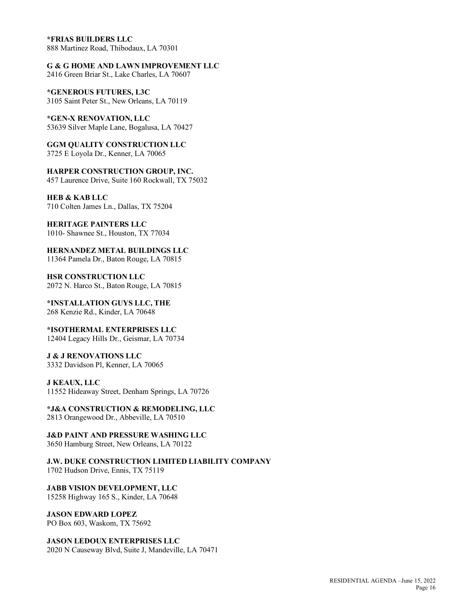#### **\*FRIAS BUILDERS LLC**

888 Martinez Road, Thibodaux, LA 70301

**G & G HOME AND LAWN IMPROVEMENT LLC**

2416 Green Briar St., Lake Charles, LA 70607

**\*GENEROUS FUTURES, L3C** 3105 Saint Peter St., New Orleans, LA 70119

**\*GEN-X RENOVATION, LLC** 53639 Silver Maple Lane, Bogalusa, LA 70427

**GGM QUALITY CONSTRUCTION LLC** 3725 E Loyola Dr., Kenner, LA 70065

**HARPER CONSTRUCTION GROUP, INC.** 457 Laurence Drive, Suite 160 Rockwall, TX 75032

**HEB & KAB LLC** 710 Colten James Ln., Dallas, TX 75204

**HERITAGE PAINTERS LLC**

1010- Shawnee St., Houston, TX 77034

**HERNANDEZ METAL BUILDINGS LLC** 11364 Pamela Dr., Baton Rouge, LA 70815

**HSR CONSTRUCTION LLC** 2072 N. Harco St., Baton Rouge, LA 70815

**\*INSTALLATION GUYS LLC, THE** 268 Kenzie Rd., Kinder, LA 70648

**\*ISOTHERMAL ENTERPRISES LLC** 12404 Legacy Hills Dr., Geismar, LA 70734

**J & J RENOVATIONS LLC** 3332 Davidson Pl, Kenner, LA 70065

#### **J KEAUX, LLC**

11552 Hideaway Street, Denham Springs, LA 70726

**\*J&A CONSTRUCTION & REMODELING, LLC** 2813 Orangewood Dr., Abbeville, LA 70510

**J&D PAINT AND PRESSURE WASHING LLC** 3650 Hamburg Street, New Orleans, LA 70122

**J.W. DUKE CONSTRUCTION LIMITED LIABILITY COMPANY** 1702 Hudson Drive, Ennis, TX 75119

**JABB VISION DEVELOPMENT, LLC** 15258 Highway 165 S., Kinder, LA 70648

**JASON EDWARD LOPEZ** PO Box 603, Waskom, TX 75692

## **JASON LEDOUX ENTERPRISES LLC**

2020 N Causeway Blvd, Suite J, Mandeville, LA 70471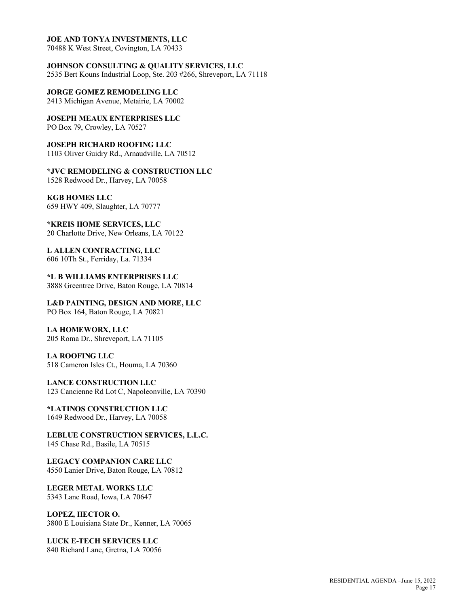### **JOE AND TONYA INVESTMENTS, LLC**

70488 K West Street, Covington, LA 70433

**JOHNSON CONSULTING & QUALITY SERVICES, LLC** 2535 Bert Kouns Industrial Loop, Ste. 203 #266, Shreveport, LA 71118

**JORGE GOMEZ REMODELING LLC** 2413 Michigan Avenue, Metairie, LA 70002

**JOSEPH MEAUX ENTERPRISES LLC** PO Box 79, Crowley, LA 70527

**JOSEPH RICHARD ROOFING LLC** 1103 Oliver Guidry Rd., Arnaudville, LA 70512

**\*JVC REMODELING & CONSTRUCTION LLC** 1528 Redwood Dr., Harvey, LA 70058

**KGB HOMES LLC** 659 HWY 409, Slaughter, LA 70777

**\*KREIS HOME SERVICES, LLC** 20 Charlotte Drive, New Orleans, LA 70122

**L ALLEN CONTRACTING, LLC** 606 10Th St., Ferriday, La. 71334

**\*L B WILLIAMS ENTERPRISES LLC** 3888 Greentree Drive, Baton Rouge, LA 70814

**L&D PAINTING, DESIGN AND MORE, LLC** PO Box 164, Baton Rouge, LA 70821

**LA HOMEWORX, LLC** 205 Roma Dr., Shreveport, LA 71105

**LA ROOFING LLC** 518 Cameron Isles Ct., Houma, LA 70360

**LANCE CONSTRUCTION LLC** 123 Cancienne Rd Lot C, Napoleonville, LA 70390

**\*LATINOS CONSTRUCTION LLC** 1649 Redwood Dr., Harvey, LA 70058

**LEBLUE CONSTRUCTION SERVICES, L.L.C.** 145 Chase Rd., Basile, LA 70515

**LEGACY COMPANION CARE LLC** 4550 Lanier Drive, Baton Rouge, LA 70812

**LEGER METAL WORKS LLC** 5343 Lane Road, Iowa, LA 70647

**LOPEZ, HECTOR O.** 3800 E Louisiana State Dr., Kenner, LA 70065

**LUCK E-TECH SERVICES LLC** 840 Richard Lane, Gretna, LA 70056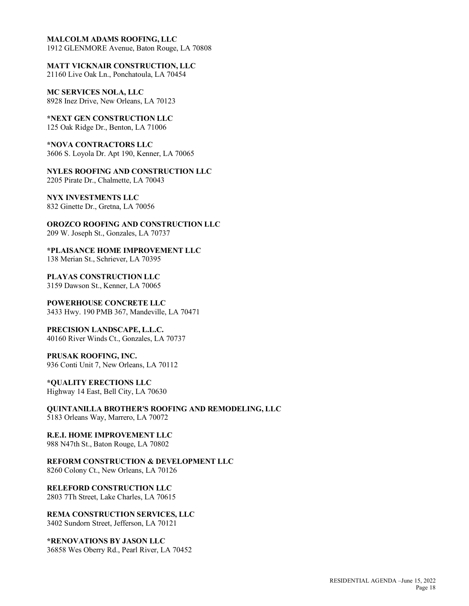### **MALCOLM ADAMS ROOFING, LLC**

1912 GLENMORE Avenue, Baton Rouge, LA 70808

**MATT VICKNAIR CONSTRUCTION, LLC** 21160 Live Oak Ln., Ponchatoula, LA 70454

**MC SERVICES NOLA, LLC** 8928 Inez Drive, New Orleans, LA 70123

**\*NEXT GEN CONSTRUCTION LLC** 125 Oak Ridge Dr., Benton, LA 71006

**\*NOVA CONTRACTORS LLC** 3606 S. Loyola Dr. Apt 190, Kenner, LA 70065

**NYLES ROOFING AND CONSTRUCTION LLC** 2205 Pirate Dr., Chalmette, LA 70043

**NYX INVESTMENTS LLC** 832 Ginette Dr., Gretna, LA 70056

**OROZCO ROOFING AND CONSTRUCTION LLC** 209 W. Joseph St., Gonzales, LA 70737

**\*PLAISANCE HOME IMPROVEMENT LLC** 138 Merian St., Schriever, LA 70395

**PLAYAS CONSTRUCTION LLC** 3159 Dawson St., Kenner, LA 70065

**POWERHOUSE CONCRETE LLC** 3433 Hwy. 190 PMB 367, Mandeville, LA 70471

**PRECISION LANDSCAPE, L.L.C.** 40160 River Winds Ct., Gonzales, LA 70737

**PRUSAK ROOFING, INC.** 936 Conti Unit 7, New Orleans, LA 70112

**\*QUALITY ERECTIONS LLC** Highway 14 East, Bell City, LA 70630

**QUINTANILLA BROTHER'S ROOFING AND REMODELING, LLC** 5183 Orleans Way, Marrero, LA 70072

**R.E.I. HOME IMPROVEMENT LLC** 988 N47th St., Baton Rouge, LA 70802

**REFORM CONSTRUCTION & DEVELOPMENT LLC** 8260 Colony Ct., New Orleans, LA 70126

**RELEFORD CONSTRUCTION LLC** 2803 7Th Street, Lake Charles, LA 70615

**REMA CONSTRUCTION SERVICES, LLC** 3402 Sundorn Street, Jefferson, LA 70121

**\*RENOVATIONS BY JASON LLC** 36858 Wes Oberry Rd., Pearl River, LA 70452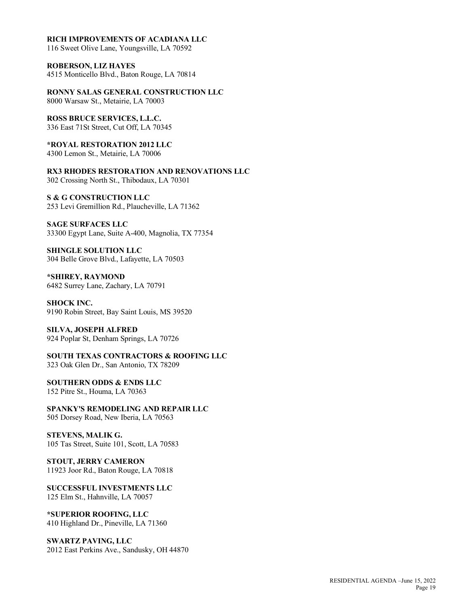#### **RICH IMPROVEMENTS OF ACADIANA LLC**

116 Sweet Olive Lane, Youngsville, LA 70592

**ROBERSON, LIZ HAYES** 4515 Monticello Blvd., Baton Rouge, LA 70814

**RONNY SALAS GENERAL CONSTRUCTION LLC**

8000 Warsaw St., Metairie, LA 70003

**ROSS BRUCE SERVICES, L.L.C.** 336 East 71St Street, Cut Off, LA 70345

**\*ROYAL RESTORATION 2012 LLC**

4300 Lemon St., Metairie, LA 70006

**RX3 RHODES RESTORATION AND RENOVATIONS LLC** 302 Crossing North St., Thibodaux, LA 70301

**S & G CONSTRUCTION LLC** 253 Levi Gremillion Rd., Plaucheville, LA 71362

**SAGE SURFACES LLC** 33300 Egypt Lane, Suite A-400, Magnolia, TX 77354

**SHINGLE SOLUTION LLC** 304 Belle Grove Blvd., Lafayette, LA 70503

**\*SHIREY, RAYMOND** 6482 Surrey Lane, Zachary, LA 70791

**SHOCK INC.** 9190 Robin Street, Bay Saint Louis, MS 39520

**SILVA, JOSEPH ALFRED** 924 Poplar St, Denham Springs, LA 70726

**SOUTH TEXAS CONTRACTORS & ROOFING LLC** 323 Oak Glen Dr., San Antonio, TX 78209

**SOUTHERN ODDS & ENDS LLC** 152 Pitre St., Houma, LA 70363

**SPANKY'S REMODELING AND REPAIR LLC** 505 Dorsey Road, New Iberia, LA 70563

**STEVENS, MALIK G.** 105 Tas Street, Suite 101, Scott, LA 70583

**STOUT, JERRY CAMERON** 11923 Joor Rd., Baton Rouge, LA 70818

**SUCCESSFUL INVESTMENTS LLC** 125 Elm St., Hahnville, LA 70057

**\*SUPERIOR ROOFING, LLC** 410 Highland Dr., Pineville, LA 71360

**SWARTZ PAVING, LLC** 2012 East Perkins Ave., Sandusky, OH 44870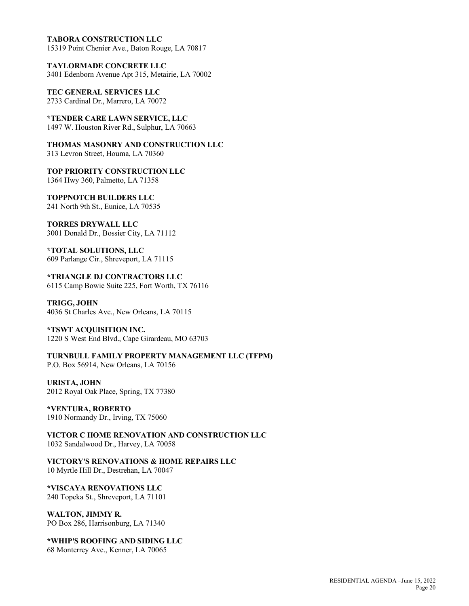#### **TABORA CONSTRUCTION LLC**

15319 Point Chenier Ave., Baton Rouge, LA 70817

**TAYLORMADE CONCRETE LLC** 3401 Edenborn Avenue Apt 315, Metairie, LA 70002

**TEC GENERAL SERVICES LLC** 2733 Cardinal Dr., Marrero, LA 70072

**\*TENDER CARE LAWN SERVICE, LLC** 1497 W. Houston River Rd., Sulphur, LA 70663

**THOMAS MASONRY AND CONSTRUCTION LLC** 313 Levron Street, Houma, LA 70360

**TOP PRIORITY CONSTRUCTION LLC** 1364 Hwy 360, Palmetto, LA 71358

**TOPPNOTCH BUILDERS LLC** 241 North 9th St., Eunice, LA 70535

**TORRES DRYWALL LLC** 3001 Donald Dr., Bossier City, LA 71112

**\*TOTAL SOLUTIONS, LLC**

609 Parlange Cir., Shreveport, LA 71115

**\*TRIANGLE DJ CONTRACTORS LLC** 6115 Camp Bowie Suite 225, Fort Worth, TX 76116

**TRIGG, JOHN** 4036 St Charles Ave., New Orleans, LA 70115

## **\*TSWT ACQUISITION INC.**

1220 S West End Blvd., Cape Girardeau, MO 63703

**TURNBULL FAMILY PROPERTY MANAGEMENT LLC (TFPM)** P.O. Box 56914, New Orleans, LA 70156

**URISTA, JOHN** 2012 Royal Oak Place, Spring, TX 77380

**\*VENTURA, ROBERTO** 1910 Normandy Dr., Irving, TX 75060

**VICTOR C HOME RENOVATION AND CONSTRUCTION LLC** 1032 Sandalwood Dr., Harvey, LA 70058

**VICTORY'S RENOVATIONS & HOME REPAIRS LLC** 10 Myrtle Hill Dr., Destrehan, LA 70047

**\*VISCAYA RENOVATIONS LLC** 240 Topeka St., Shreveport, LA 71101

**WALTON, JIMMY R.** PO Box 286, Harrisonburg, LA 71340

**\*WHIP'S ROOFING AND SIDING LLC** 68 Monterrey Ave., Kenner, LA 70065